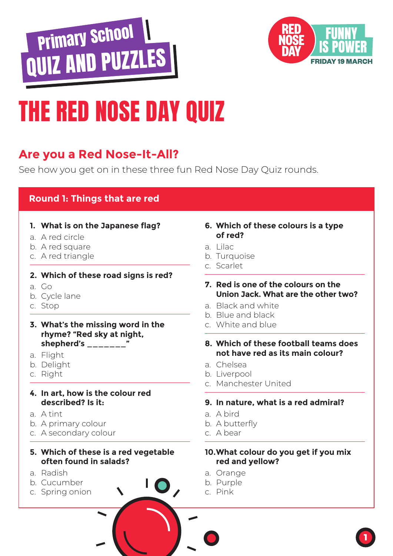



## THE RED NOSE DAY QUIZ

### **Are you a Red Nose-It-All?**

See how you get on in these three fun Red Nose Day Quiz rounds.

### **Round 1: Things that are red**

- **1. What is on the Japanese flag?**
- a. A red circle
- b. A red square
- c. A red triangle

#### **2. Which of these road signs is red?**

- a. Go
- b. Cycle lane
- c. Stop
- **3. What's the missing word in the rhyme? "Red sky at night, shepherd's \_\_\_\_\_\_\_"**
- a. Flight
- b. Delight
- c. Right
- **4. In art, how is the colour red described? Is it:**
- a. A tint
- b. A primary colour
- c. A secondary colour

#### **5. Which of these is a red vegetable often found in salads?**

- a. Radish
- b. Cucumber
- c. Spring onion

#### **6. Which of these colours is a type of red?**

- a. Lilac
- b. Turquoise
- c. Scarlet
- **7. Red is one of the colours on the Union Jack. What are the other two?**
- a. Black and white
- b. Blue and black
- c. White and blue
- **8. Which of these football teams does not have red as its main colour?**
- a. Chelsea
- b. Liverpool
- c. Manchester United

#### **9. In nature, what is a red admiral?**

- a. A bird
- b. A butterfly
- c. A bear

#### **10. What colour do you get if you mix red and yellow?**

- a. Orange
- b. Purple
- c. Pink

 $\mathbf{O}_{\lambda}$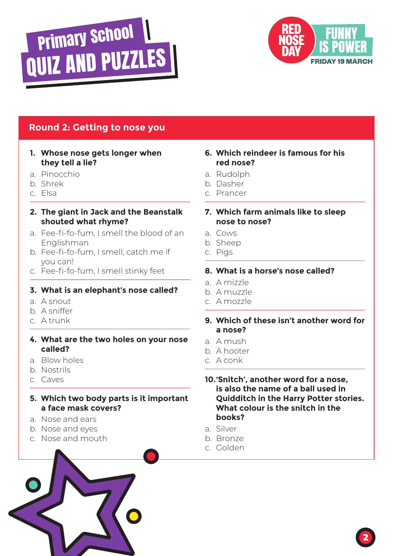



### **Round 2: Getting to nose you**

#### **1. Whose nose gets longer when they tell a lie?**

- a. Pinocchio
- b. Shrek
- c. Elsa

#### **2. The giant in Jack and the Beanstalk shouted what rhyme?**

- a. Fee-fi-fo-fum, I smell the blood of an Englishman
- b. Fee-fi-fo-fum, I smell, catch me if you can!
- c. Fee-fi-fo-fum, I smell stinky feet

#### **3. What is an elephant's nose called?**

- a. A snout
- b. A sniffer
- c. A trunk

#### **4. What are the two holes on your nose called?**

- a. Blow holes
- b. Nostrils
- c. Caves

#### **5. Which two body parts is it important a face mask covers?**

- a. Nose and ears
- b. Nose and eyes
- c. Nose and mouth

#### **6. Which reindeer is famous for his red nose?**

- a. Rudolph
- b. Dasher
- c. Prancer

#### **7. Which farm animals like to sleep nose to nose?**

- a. Cows
- b. Sheep
- c. Pigs

#### **8. What is a horse's nose called?**

- a. A mizzle
- b. A muzzle
- c. A mozzle
- **9. Which of these isn't another word for a nose?**
- a. A mush
- b. A hooter
- c. A conk

**10. 'Snitch', another word for a nose, is also the name of a ball used in Quidditch in the Harry Potter stories. What colour is the snitch in the books?**

- a. Silver
- b. Bronze
- c. Golden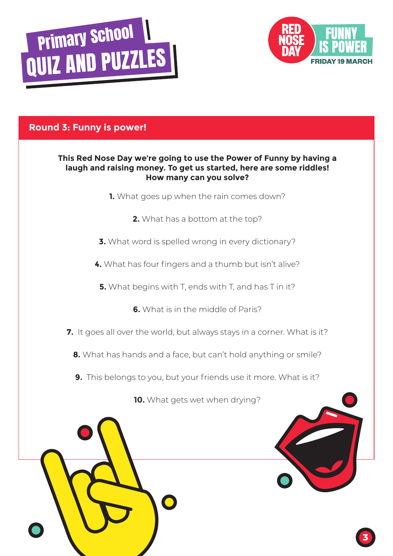



**3**

### **Round 3: Funny is power!**

#### **This Red Nose Day we're going to use the Power of Funny by having a laugh and raising money. To get us started, here are some riddles! How many can you solve?**

- **1.** What goes up when the rain comes down?
	- **2.** What has a bottom at the top?
- **3.** What word is spelled wrong in every dictionary?
- **4.** What has four fingers and a thumb but isn't alive?
	- **5.** What begins with T, ends with T, and has T in it?
		- **6.** What is in the middle of Paris?
- **7.** It goes all over the world, but always stays in a corner. What is it?
	- **8.** What has hands and a face, but can't hold anything or smile?
	- **9.** This belongs to you, but your friends use it more. What is it?

**10.** What gets wet when drying?

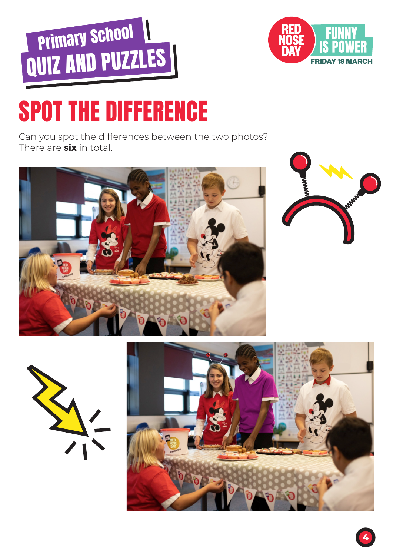



# SPOT THE DIFFERENCE

Can you spot the differences between the two photos? There are **six** in total.







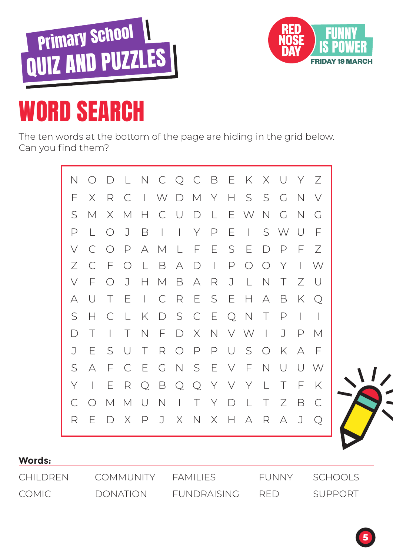



# WORD SEARCH

The ten words at the bottom of the page are hiding in the grid below. Can you find them?



| <b>Words:</b> |                  |             |                                |           |
|---------------|------------------|-------------|--------------------------------|-----------|
| CHII DREN     | <b>COMMUNITY</b> | FAMILIFS.   | FUNNY                          | - SCHOOLS |
| COMIC -       | <b>DONATION</b>  | FUNDRAISING | $R$ $\vdash$ $\vdash$ $\vdash$ | SUPPORT   |